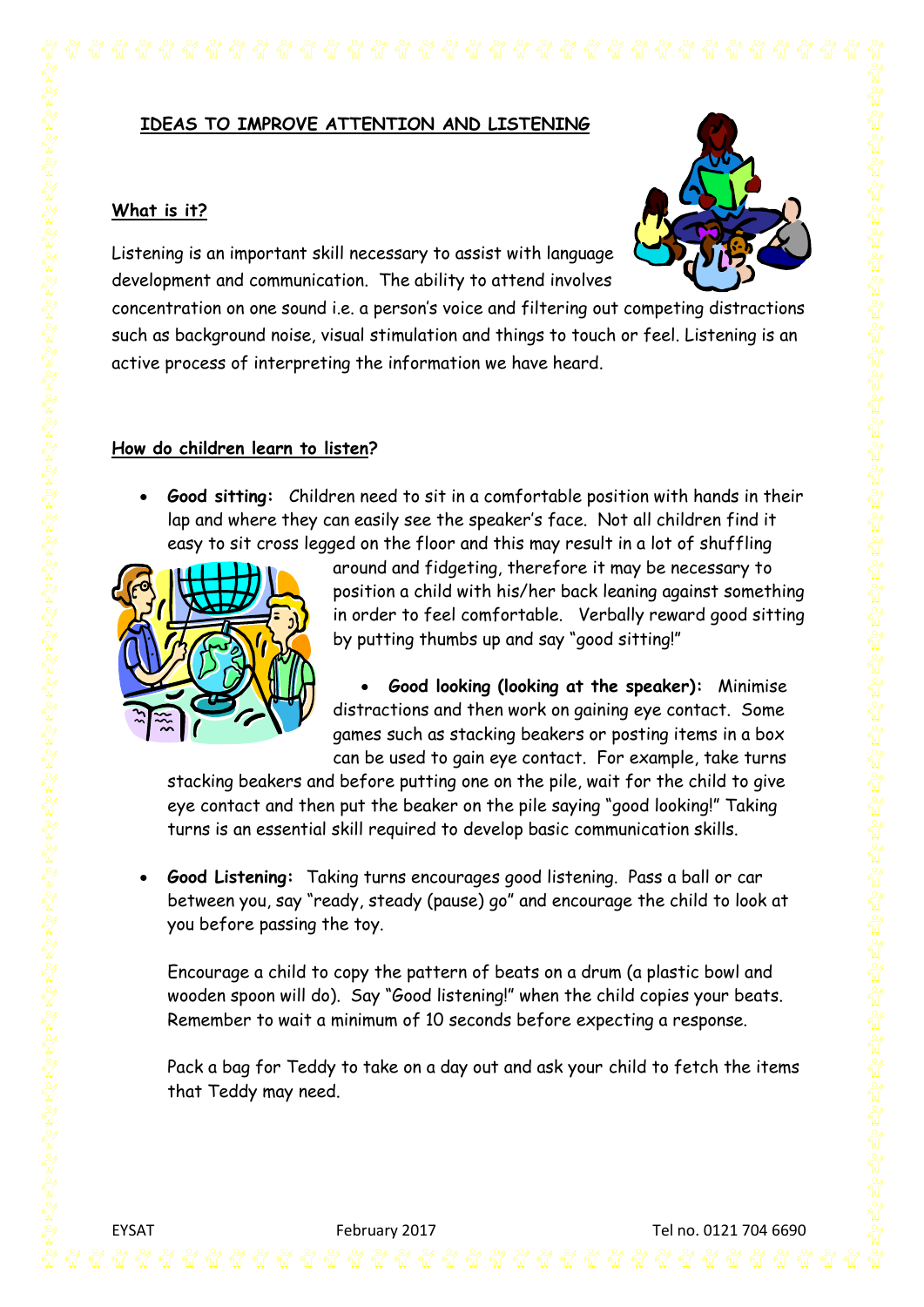\*\*\*\*\*\*\*\*\*\*\*\*\*\*\*\*\*\*\*\*\*\*\*\*\*\*\*\*\*\*\*

## **What is it?**

Listening is an important skill necessary to assist with language development and communication. The ability to attend involves

**IDEAS TO IMPROVE ATTENTION AND LISTENING**



concentration on one sound i.e. a person's voice and filtering out competing distractions such as background noise, visual stimulation and things to touch or feel. Listening is an active process of interpreting the information we have heard.

## **How do children learn to listen?**

 **Good sitting:** Children need to sit in a comfortable position with hands in their lap and where they can easily see the speaker's face. Not all children find it easy to sit cross legged on the floor and this may result in a lot of shuffling



around and fidgeting, therefore it may be necessary to position a child with his/her back leaning against something in order to feel comfortable. Verbally reward good sitting by putting thumbs up and say "good sitting!"

 **Good looking (looking at the speaker):** Minimise distractions and then work on gaining eye contact. Some games such as stacking beakers or posting items in a box can be used to gain eye contact. For example, take turns

stacking beakers and before putting one on the pile, wait for the child to give eye contact and then put the beaker on the pile saying "good looking!" Taking turns is an essential skill required to develop basic communication skills.

 **Good Listening:** Taking turns encourages good listening. Pass a ball or car between you, say "ready, steady (pause) go" and encourage the child to look at you before passing the toy.

Encourage a child to copy the pattern of beats on a drum (a plastic bowl and wooden spoon will do). Say "Good listening!" when the child copies your beats. Remember to wait a minimum of 10 seconds before expecting a response.

Pack a bag for Teddy to take on a day out and ask your child to fetch the items that Teddy may need.

EYSAT February 2017 Tel no. 0121 704 6690

\*\*\*\*\*\*\*\*\*\*\*\*\*\*\*\*\*\*\*\*\*\*\*\*\*\*\*\*\*\*\*\*\*\*\*\*\*\*